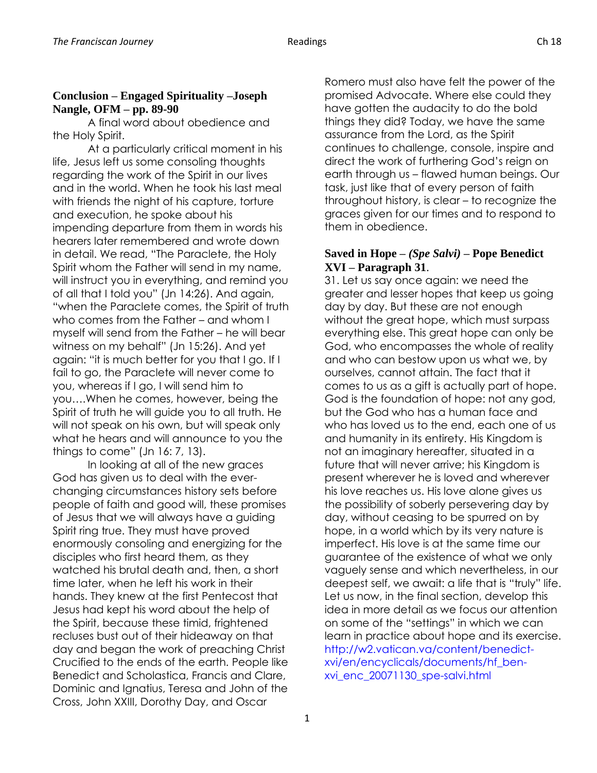## **Conclusion – Engaged Spirituality –Joseph Nangle, OFM – pp. 89-90**

A final word about obedience and the Holy Spirit.

At a particularly critical moment in his life, Jesus left us some consoling thoughts regarding the work of the Spirit in our lives and in the world. When he took his last meal with friends the night of his capture, torture and execution, he spoke about his impending departure from them in words his hearers later remembered and wrote down in detail. We read, "The Paraclete, the Holy Spirit whom the Father will send in my name, will instruct you in everything, and remind you of all that I told you" (Jn 14:26). And again, "when the Paraclete comes, the Spirit of truth who comes from the Father – and whom I myself will send from the Father – he will bear witness on my behalf" (Jn 15:26). And yet again: "it is much better for you that I go. If I fail to go, the Paraclete will never come to you, whereas if I go, I will send him to you….When he comes, however, being the Spirit of truth he will guide you to all truth. He will not speak on his own, but will speak only what he hears and will announce to you the things to come" (Jn 16: 7, 13).

In looking at all of the new graces God has given us to deal with the everchanging circumstances history sets before people of faith and good will, these promises of Jesus that we will always have a guiding Spirit ring true. They must have proved enormously consoling and energizing for the disciples who first heard them, as they watched his brutal death and, then, a short time later, when he left his work in their hands. They knew at the first Pentecost that Jesus had kept his word about the help of the Spirit, because these timid, frightened recluses bust out of their hideaway on that day and began the work of preaching Christ Crucified to the ends of the earth. People like Benedict and Scholastica, Francis and Clare, Dominic and Ignatius, Teresa and John of the Cross, John XXIII, Dorothy Day, and Oscar

Romero must also have felt the power of the promised Advocate. Where else could they have gotten the audacity to do the bold things they did? Today, we have the same assurance from the Lord, as the Spirit continues to challenge, console, inspire and direct the work of furthering God's reign on earth through us – flawed human beings. Our task, just like that of every person of faith throughout history, is clear – to recognize the graces given for our times and to respond to them in obedience.

## **Saved in Hope –** *(Spe Salvi)* **– Pope Benedict XVI – Paragraph 31**.

31. Let us say once again: we need the greater and lesser hopes that keep us going day by day. But these are not enough without the great hope, which must surpass everything else. This great hope can only be God, who encompasses the whole of reality and who can bestow upon us what we, by ourselves, cannot attain. The fact that it comes to us as a gift is actually part of hope. God is the foundation of hope: not any god, but the God who has a human face and who has loved us to the end, each one of us and humanity in its entirety. His Kingdom is not an imaginary hereafter, situated in a future that will never arrive; his Kingdom is present wherever he is loved and wherever his love reaches us. His love alone gives us the possibility of soberly persevering day by day, without ceasing to be spurred on by hope, in a world which by its very nature is imperfect. His love is at the same time our guarantee of the existence of what we only vaguely sense and which nevertheless, in our deepest self, we await: a life that is "truly" life. Let us now, in the final section, develop this idea in more detail as we focus our attention on some of the "settings" in which we can learn in practice about hope and its exercise. http://w2.vatican.va/content/benedictxvi/en/encyclicals/documents/hf\_benxvi\_enc\_20071130\_spe-salvi.html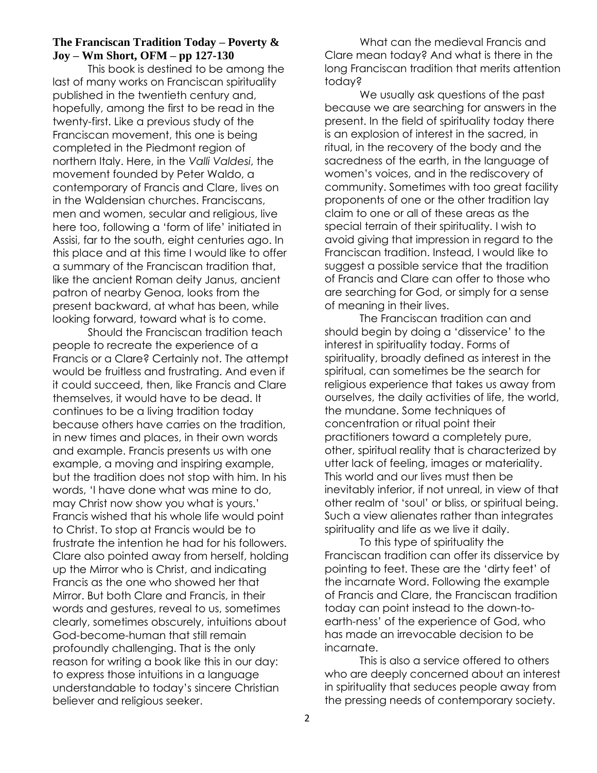#### **The Franciscan Tradition Today – Poverty & Joy – Wm Short, OFM – pp 127-130**

This book is destined to be among the last of many works on Franciscan spirituality published in the twentieth century and, hopefully, among the first to be read in the twenty-first. Like a previous study of the Franciscan movement, this one is being completed in the Piedmont region of northern Italy. Here, in the *Valli Valdesi*, the movement founded by Peter Waldo, a contemporary of Francis and Clare, lives on in the Waldensian churches. Franciscans, men and women, secular and religious, live here too, following a 'form of life' initiated in Assisi, far to the south, eight centuries ago. In this place and at this time I would like to offer a summary of the Franciscan tradition that, like the ancient Roman deity Janus, ancient patron of nearby Genoa, looks from the present backward, at what has been, while looking forward, toward what is to come.

Should the Franciscan tradition teach people to recreate the experience of a Francis or a Clare? Certainly not. The attempt would be fruitless and frustrating. And even if it could succeed, then, like Francis and Clare themselves, it would have to be dead. It continues to be a living tradition today because others have carries on the tradition, in new times and places, in their own words and example. Francis presents us with one example, a moving and inspiring example, but the tradition does not stop with him. In his words, 'I have done what was mine to do, may Christ now show you what is yours.' Francis wished that his whole life would point to Christ. To stop at Francis would be to frustrate the intention he had for his followers. Clare also pointed away from herself, holding up the Mirror who is Christ, and indicating Francis as the one who showed her that Mirror. But both Clare and Francis, in their words and gestures, reveal to us, sometimes clearly, sometimes obscurely, intuitions about God-become-human that still remain profoundly challenging. That is the only reason for writing a book like this in our day: to express those intuitions in a language understandable to today's sincere Christian believer and religious seeker.

What can the medieval Francis and Clare mean today? And what is there in the long Franciscan tradition that merits attention today?

We usually ask questions of the past because we are searching for answers in the present. In the field of spirituality today there is an explosion of interest in the sacred, in ritual, in the recovery of the body and the sacredness of the earth, in the language of women's voices, and in the rediscovery of community. Sometimes with too great facility proponents of one or the other tradition lay claim to one or all of these areas as the special terrain of their spirituality. I wish to avoid giving that impression in regard to the Franciscan tradition. Instead, I would like to suggest a possible service that the tradition of Francis and Clare can offer to those who are searching for God, or simply for a sense of meaning in their lives.

The Franciscan tradition can and should begin by doing a 'disservice' to the interest in spirituality today. Forms of spirituality, broadly defined as interest in the spiritual, can sometimes be the search for religious experience that takes us away from ourselves, the daily activities of life, the world, the mundane. Some techniques of concentration or ritual point their practitioners toward a completely pure, other, spiritual reality that is characterized by utter lack of feeling, images or materiality. This world and our lives must then be inevitably inferior, if not unreal, in view of that other realm of 'soul' or bliss, or spiritual being. Such a view alienates rather than integrates spirituality and life as we live it daily.

To this type of spirituality the Franciscan tradition can offer its disservice by pointing to feet. These are the 'dirty feet' of the incarnate Word. Following the example of Francis and Clare, the Franciscan tradition today can point instead to the down-toearth-ness' of the experience of God, who has made an irrevocable decision to be incarnate.

This is also a service offered to others who are deeply concerned about an interest in spirituality that seduces people away from the pressing needs of contemporary society.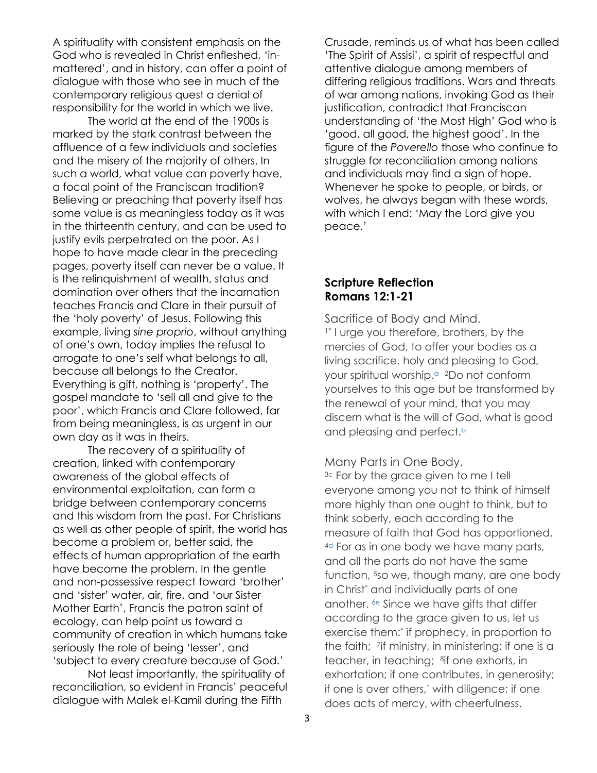A spirituality with consistent emphasis on the God who is revealed in Christ enfleshed, 'inmattered', and in history, can offer a point of dialogue with those who see in much of the contemporary religious quest a denial of responsibility for the world in which we live.

The world at the end of the 1900s is marked by the stark contrast between the affluence of a few individuals and societies and the misery of the majority of others. In such a world, what value can poverty have, a focal point of the Franciscan tradition? Believing or preaching that poverty itself has some value is as meaningless today as it was in the thirteenth century, and can be used to justify evils perpetrated on the poor. As I hope to have made clear in the preceding pages, poverty itself can never be a value. It is the relinquishment of wealth, status and domination over others that the incarnation teaches Francis and Clare in their pursuit of the 'holy poverty' of Jesus. Following this example, living *sine proprio*, without anything of one's own, today implies the refusal to arrogate to one's self what belongs to all, because all belongs to the Creator. Everything is gift, nothing is 'property'. The gospel mandate to 'sell all and give to the poor', which Francis and Clare followed, far from being meaningless, is as urgent in our own day as it was in theirs.

The recovery of a spirituality of creation, linked with contemporary awareness of the global effects of environmental exploitation, can form a bridge between contemporary concerns and this wisdom from the past. For Christians as well as other people of spirit, the world has become a problem or, better said, the effects of human appropriation of the earth have become the problem. In the gentle and non-possessive respect toward 'brother' and 'sister' water, air, fire, and 'our Sister Mother Earth', Francis the patron saint of ecology, can help point us toward a community of creation in which humans take seriously the role of being 'lesser', and 'subject to every creature because of God.'

Not least importantly, the spirituality of reconciliation, so evident in Francis' peaceful dialogue with Malek el-Kamil during the Fifth

Crusade, reminds us of what has been called 'The Spirit of Assisi', a spirit of respectful and attentive dialogue among members of differing religious traditions. Wars and threats of war among nations, invoking God as their justification, contradict that Franciscan understanding of 'the Most High' God who is 'good, all good, the highest good'. In the figure of the *Poverello* those who continue to struggle for reconciliation among nations and individuals may find a sign of hope. Whenever he spoke to people, or birds, or wolves, he always began with these words, with which I end: 'May the Lord give you peace.'

# **Scripture Reflection Romans 12:1-21**

Sacrifice of Body and Mind. [1\\*](https://bible.usccb.org/bible/romans/12#53012001-2) I urge you therefore, brothers, by the mercies of God, to offer your bodies as a living sacrifice, holy and pleasing to God, your spiritual worship.[a](https://bible.usccb.org/bible/romans/12#53012001-a) <sup>2</sup>Do not conform yourselves to this age but be transformed by the renewal of your mind, that you may discern what is the will of God, what is good and pleasing and perfect.<sup>[b](https://bible.usccb.org/bible/romans/12#53012002-b)</sup>

Many Parts in One Body.

[3c](https://bible.usccb.org/bible/romans/12#53012003-c) For by the grace given to me I tell everyone among you not to think of himself more highly than one ought to think, but to think soberly, each according to the measure of faith that God has apportioned. <sup>[4d](https://bible.usccb.org/bible/romans/12#53012004-d)</sup> For as in one body we have many parts, and all the parts do not have the same function, <sup>5</sup>so we, though many, are one body in Chris[t](https://bible.usccb.org/bible/romans/12#53012005-1)\* and individually parts of one another. [6e](https://bible.usccb.org/bible/romans/12#53012006-e) Since we have gifts that differ according to the grace given to us, let us exercise them[:](https://bible.usccb.org/bible/romans/12#53012006-1)\* if prophecy, in proportion to the faith; 7 if ministry, in ministering; if one is a teacher, in teaching; 8 if one exhorts, in exhortation; if one contributes, in generosity; if one is over others[,](https://bible.usccb.org/bible/romans/12#53012008-1)\* with diligence; if one does acts of mercy, with cheerfulness.